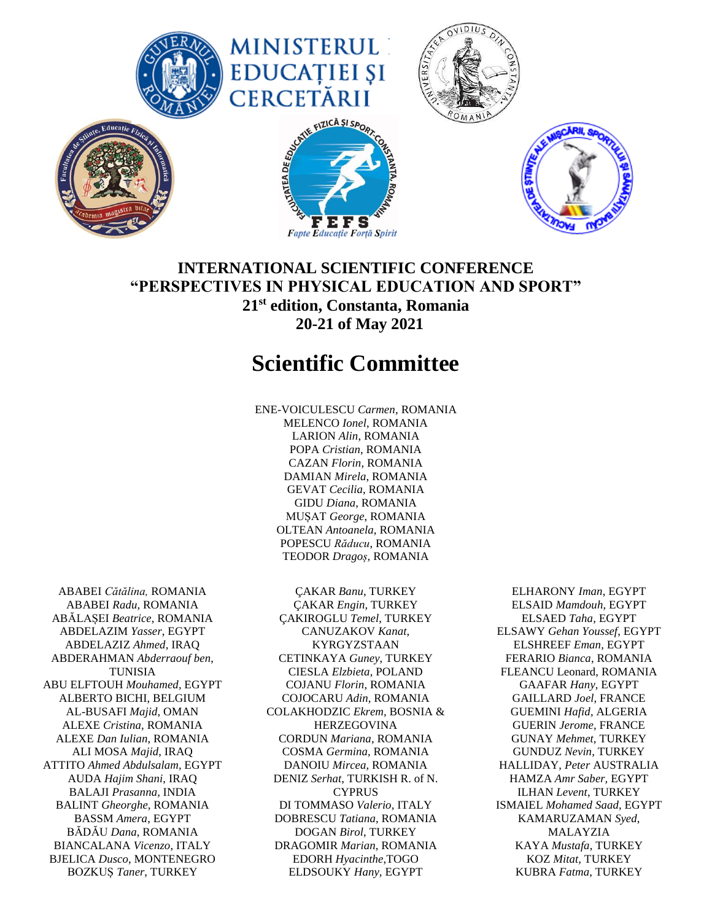

## **INTERNATIONAL SCIENTIFIC CONFERENCE "PERSPECTIVES IN PHYSICAL EDUCATION AND SPORT" 21st edition, Constanta, Romania 20-21 of May 2021**

## **Scientific Committee**

ENE-VOICULESCU *Carmen,* ROMANIA MELENCO *Ionel*, ROMANIA LARION *Alin*, ROMANIA POPA *Cristian*, ROMANIA CAZAN *Florin*, ROMANIA DAMIAN *Mirela*, ROMANIA GEVAT *Cecilia*, ROMANIA GIDU *Diana*, ROMANIA MUȘAT *George*, ROMANIA OLTEAN *Antoanela*, ROMANIA POPESCU *Răducu*, ROMANIA TEODOR *Dragoș,* ROMANIA

ABABEI *Cătălina,* ROMANIA ABABEI *Radu,* ROMANIA ABĂLAȘEI *Beatrice*, ROMANIA ABDELAZIM *Yasser*, EGYPT ABDELAZIZ *Ahmed*, IRAQ ABDERAHMAN *Abderraouf ben*, TUNISIA ABU ELFTOUH *Mouhamed,* EGYPT ALBERTO BICHI, BELGIUM AL-BUSAFI *Majid*, OMAN ALEXE *Cristina,* ROMANIA ALEXE *Dan Iulian*, ROMANIA ALI MOSA *Majid*, IRAQ ATTITO *Ahmed Abdulsalam,* EGYPT AUDA *Hajim Shani*, IRAQ BALAJI *Prasanna,* INDIA BALINT *Gheorghe*, ROMANIA BASSM *Amera*, EGYPT BĂDĂU *Dana*, ROMANIA BIANCALANA *Vicenzo*, ITALY BJELICA *Dusco*, MONTENEGRO BOZKUȘ *Taner*, TURKEY

ÇAKAR *Banu*, TURKEY ÇAKAR *Engin*, TURKEY ÇAKIROGLU *Temel*, TURKEY CANUZAKOV *Kanat*, KYRGYZSTAAN CETINKAYA *Guney*, TURKEY CIESLA *Elzbieta*, POLAND COJANU *Florin*, ROMANIA COJOCARU *Adin*, ROMANIA COLAKHODZIC *Ekrem*, BOSNIA & HERZEGOVINA CORDUN *Mariana*, ROMANIA COSMA *Germina*, ROMANIA DANOIU *Mircea*, ROMANIA DENIZ *Serhat*, TURKISH R. of N. CYPRUS DI TOMMASO *Valerio*, ITALY DOBRESCU *Tatiana*, ROMANIA DOGAN *Birol*, TURKEY DRAGOMIR *Marian*, ROMANIA EDORH *Hyacinthe*,TOGO ELDSOUKY *Hany,* EGYPT

ELHARONY *Iman*, EGYPT ELSAID *Mamdouh*, EGYPT ELSAED *Taha*, EGYPT ELSAWY *Gehan Youssef*, EGYPT ELSHREEF *Eman*, EGYPT FERARIO *Bianca*, ROMANIA FLEANCU Leonard, ROMANIA GAAFAR *Hany*, EGYPT GAILLARD *Joel*, FRANCE GUEMINI *Hafid*, ALGERIA GUERIN *Jerome*, FRANCE GUNAY *Mehmet,* TURKEY GUNDUZ *Nevin*, TURKEY HALLIDAY, *Peter* AUSTRALIA HAMZA *Amr Saber,* EGYPT ILHAN *Levent*, TURKEY ISMAIEL *Mohamed Saad*, EGYPT KAMARUZAMAN *Syed*, MALAYZIA KAYA *Mustafa*, TURKEY KOZ *Mitat*, TURKEY KUBRA *Fatma*, TURKEY